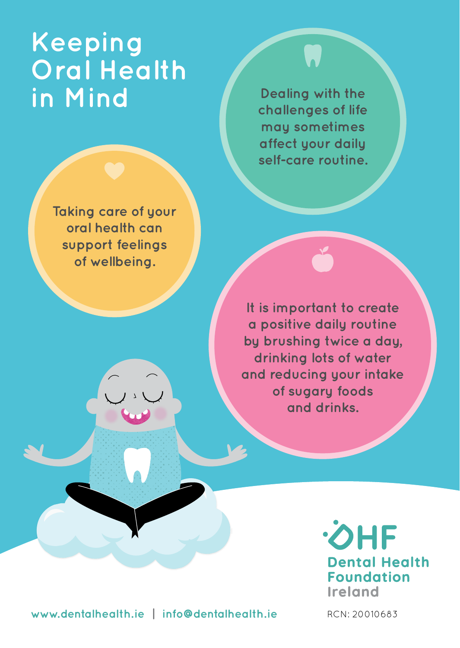# **Keeping Oral Health in Mind**

**Taking care of your oral health can support feelings of wellbeing.**

**Dealing with the challenges of life may sometimes affect your daily self-care routine.**

**It is important to create a positive daily routine by brushing twice a day, drinking lots of water and reducing your intake of sugary foods and drinks.**

> **OHF Dental Health Foundation** Ireland

**www.dentalhealth.ie | info@dentalhealth.ie** RCN: 20010683